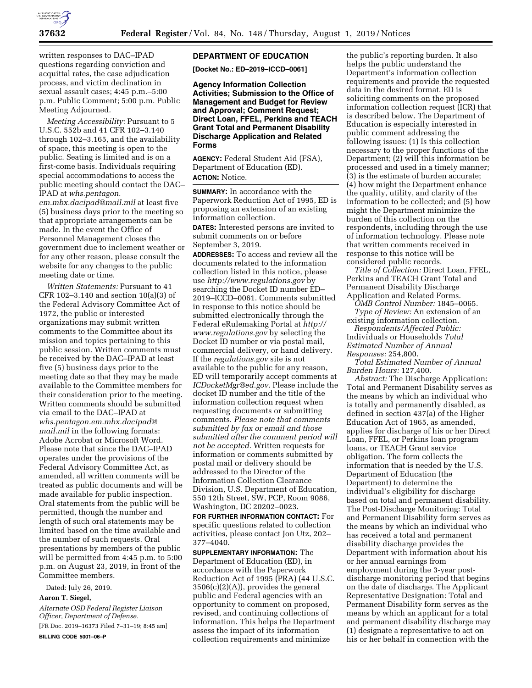

written responses to DAC–IPAD questions regarding conviction and acquittal rates, the case adjudication process, and victim declination in sexual assault cases; 4:45 p.m.–5:00 p.m. Public Comment; 5:00 p.m. Public Meeting Adjourned.

*Meeting Accessibility:* Pursuant to 5 U.S.C. 552b and 41 CFR 102–3.140 through 102–3.165, and the availability of space, this meeting is open to the public. Seating is limited and is on a first-come basis. Individuals requiring special accommodations to access the public meeting should contact the DAC– IPAD at *[whs.pentagon.](mailto:whs.pentagon.em.mbx.dacipad@mail.mil) [em.mbx.dacipad@mail.mil](mailto:whs.pentagon.em.mbx.dacipad@mail.mil)* at least five (5) business days prior to the meeting so that appropriate arrangements can be made. In the event the Office of Personnel Management closes the government due to inclement weather or for any other reason, please consult the website for any changes to the public meeting date or time.

*Written Statements:* Pursuant to 41 CFR 102–3.140 and section 10(a)(3) of the Federal Advisory Committee Act of 1972, the public or interested organizations may submit written comments to the Committee about its mission and topics pertaining to this public session. Written comments must be received by the DAC–IPAD at least five (5) business days prior to the meeting date so that they may be made available to the Committee members for their consideration prior to the meeting. Written comments should be submitted via email to the DAC–IPAD at *[whs.pentagon.em.mbx.dacipad@](mailto:whs.pentagon.em.mbx.dacipad@mail.mil) [mail.mil](mailto:whs.pentagon.em.mbx.dacipad@mail.mil)* in the following formats: Adobe Acrobat or Microsoft Word. Please note that since the DAC–IPAD operates under the provisions of the Federal Advisory Committee Act, as amended, all written comments will be treated as public documents and will be made available for public inspection. Oral statements from the public will be permitted, though the number and length of such oral statements may be limited based on the time available and the number of such requests. Oral presentations by members of the public will be permitted from 4:45 p.m. to 5:00 p.m. on August 23, 2019, in front of the Committee members.

Dated: July 26, 2019.

**Aaron T. Siegel,** 

*Alternate OSD Federal Register Liaison Officer, Department of Defense.*  [FR Doc. 2019–16373 Filed 7–31–19; 8:45 am]

**BILLING CODE 5001–06–P** 

### **DEPARTMENT OF EDUCATION**

**[Docket No.: ED–2019–ICCD–0061]** 

**Agency Information Collection Activities; Submission to the Office of Management and Budget for Review and Approval; Comment Request; Direct Loan, FFEL, Perkins and TEACH Grant Total and Permanent Disability Discharge Application and Related Forms** 

**AGENCY:** Federal Student Aid (FSA), Department of Education (ED). **ACTION:** Notice.

**SUMMARY:** In accordance with the Paperwork Reduction Act of 1995, ED is proposing an extension of an existing information collection. **DATES:** Interested persons are invited to

submit comments on or before September 3, 2019.

**ADDRESSES:** To access and review all the documents related to the information collection listed in this notice, please use *<http://www.regulations.gov>*by searching the Docket ID number ED– 2019–ICCD–0061. Comments submitted in response to this notice should be submitted electronically through the Federal eRulemaking Portal at *[http://](http://www.regulations.gov) [www.regulations.gov](http://www.regulations.gov)* by selecting the Docket ID number or via postal mail, commercial delivery, or hand delivery. If the *regulations.gov* site is not available to the public for any reason, ED will temporarily accept comments at *[ICDocketMgr@ed.gov.](mailto:ICDocketMgr@ed.gov)* Please include the docket ID number and the title of the information collection request when requesting documents or submitting comments. *Please note that comments submitted by fax or email and those submitted after the comment period will not be accepted.* Written requests for information or comments submitted by postal mail or delivery should be addressed to the Director of the Information Collection Clearance Division, U.S. Department of Education, 550 12th Street, SW, PCP, Room 9086, Washington, DC 20202–0023.

**FOR FURTHER INFORMATION CONTACT:** For specific questions related to collection activities, please contact Jon Utz, 202– 377–4040.

**SUPPLEMENTARY INFORMATION:** The Department of Education (ED), in accordance with the Paperwork Reduction Act of 1995 (PRA) (44 U.S.C.  $3506(c)(2)(A)$ , provides the general public and Federal agencies with an opportunity to comment on proposed, revised, and continuing collections of information. This helps the Department assess the impact of its information collection requirements and minimize

the public's reporting burden. It also helps the public understand the Department's information collection requirements and provide the requested data in the desired format. ED is soliciting comments on the proposed information collection request (ICR) that is described below. The Department of Education is especially interested in public comment addressing the following issues: (1) Is this collection necessary to the proper functions of the Department; (2) will this information be processed and used in a timely manner; (3) is the estimate of burden accurate; (4) how might the Department enhance the quality, utility, and clarity of the information to be collected; and (5) how might the Department minimize the burden of this collection on the respondents, including through the use of information technology. Please note that written comments received in response to this notice will be considered public records.

*Title of Collection:* Direct Loan, FFEL, Perkins and TEACH Grant Total and Permanent Disability Discharge Application and Related Forms.

*OMB Control Number:* 1845–0065. *Type of Review:* An extension of an existing information collection.

*Respondents/Affected Public:*  Individuals or Households *Total Estimated Number of Annual Responses:* 254,800.

*Total Estimated Number of Annual Burden Hours:* 127,400.

*Abstract:* The Discharge Application: Total and Permanent Disability serves as the means by which an individual who is totally and permanently disabled, as defined in section 437(a) of the Higher Education Act of 1965, as amended, applies for discharge of his or her Direct Loan, FFEL, or Perkins loan program loans, or TEACH Grant service obligation. The form collects the information that is needed by the U.S. Department of Education (the Department) to determine the individual's eligibility for discharge based on total and permanent disability. The Post-Discharge Monitoring: Total and Permanent Disability form serves as the means by which an individual who has received a total and permanent disability discharge provides the Department with information about his or her annual earnings from employment during the 3-year postdischarge monitoring period that begins on the date of discharge. The Applicant Representative Designation: Total and Permanent Disability form serves as the means by which an applicant for a total and permanent disability discharge may (1) designate a representative to act on his or her behalf in connection with the